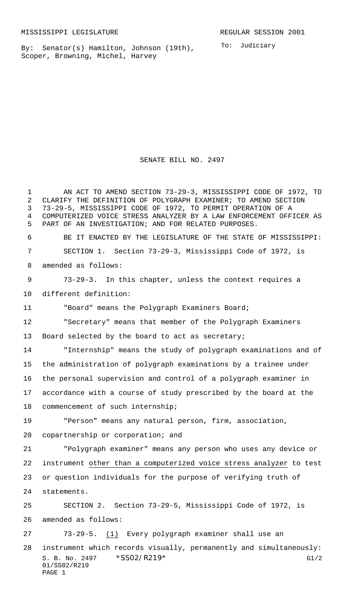01/SS02/R219

PAGE 1

By: Senator(s) Hamilton, Johnson (19th), Scoper, Browning, Michel, Harvey

To: Judiciary

S. B. No. 2497 \* SS02/R219\* G1/2 AN ACT TO AMEND SECTION 73-29-3, MISSISSIPPI CODE OF 1972, TO CLARIFY THE DEFINITION OF POLYGRAPH EXAMINER; TO AMEND SECTION 73-29-5, MISSISSIPPI CODE OF 1972, TO PERMIT OPERATION OF A COMPUTERIZED VOICE STRESS ANALYZER BY A LAW ENFORCEMENT OFFICER AS PART OF AN INVESTIGATION; AND FOR RELATED PURPOSES. BE IT ENACTED BY THE LEGISLATURE OF THE STATE OF MISSISSIPPI: SECTION 1. Section 73-29-3, Mississippi Code of 1972, is amended as follows: 73-29-3. In this chapter, unless the context requires a different definition: "Board" means the Polygraph Examiners Board; "Secretary" means that member of the Polygraph Examiners Board selected by the board to act as secretary; "Internship" means the study of polygraph examinations and of the administration of polygraph examinations by a trainee under the personal supervision and control of a polygraph examiner in accordance with a course of study prescribed by the board at the commencement of such internship; "Person" means any natural person, firm, association, copartnership or corporation; and "Polygraph examiner" means any person who uses any device or instrument other than a computerized voice stress analyzer to test or question individuals for the purpose of verifying truth of statements. SECTION 2. Section 73-29-5, Mississippi Code of 1972, is amended as follows: 73-29-5. (1) Every polygraph examiner shall use an instrument which records visually, permanently and simultaneously:

SENATE BILL NO. 2497